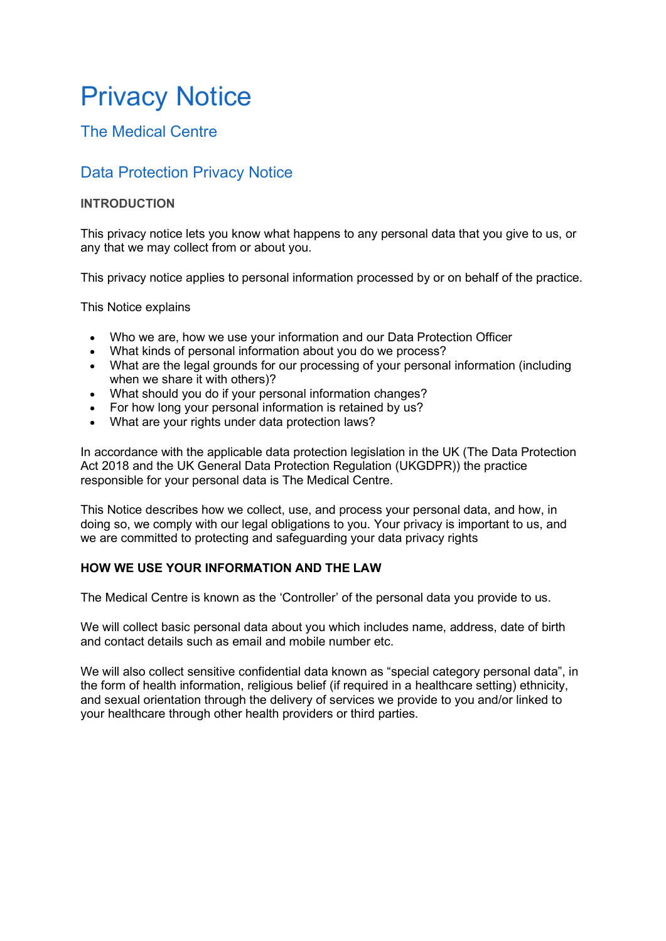# Privacy Notice

# The Medical Centre

# Data Protection Privacy Notice

# INTRODUCTION

This privacy notice lets you know what happens to any personal data that you give to us, or any that we may collect from or about you.

This privacy notice applies to personal information processed by or on behalf of the practice.

This Notice explains

- Who we are, how we use your information and our Data Protection Officer
- What kinds of personal information about you do we process?
- What are the legal grounds for our processing of your personal information (including when we share it with others)?
- What should you do if your personal information changes?
- For how long your personal information is retained by us?
- What are your rights under data protection laws?

In accordance with the applicable data protection legislation in the UK (The Data Protection Act 2018 and the UK General Data Protection Regulation (UKGDPR)) the practice responsible for your personal data is The Medical Centre.

This Notice describes how we collect, use, and process your personal data, and how, in doing so, we comply with our legal obligations to you. Your privacy is important to us, and we are committed to protecting and safeguarding your data privacy rights

# HOW WE USE YOUR INFORMATION AND THE LAW

The Medical Centre is known as the 'Controller' of the personal data you provide to us.

We will collect basic personal data about you which includes name, address, date of birth and contact details such as email and mobile number etc.

We will also collect sensitive confidential data known as "special category personal data", in the form of health information, religious belief (if required in a healthcare setting) ethnicity, and sexual orientation through the delivery of services we provide to you and/or linked to your healthcare through other health providers or third parties.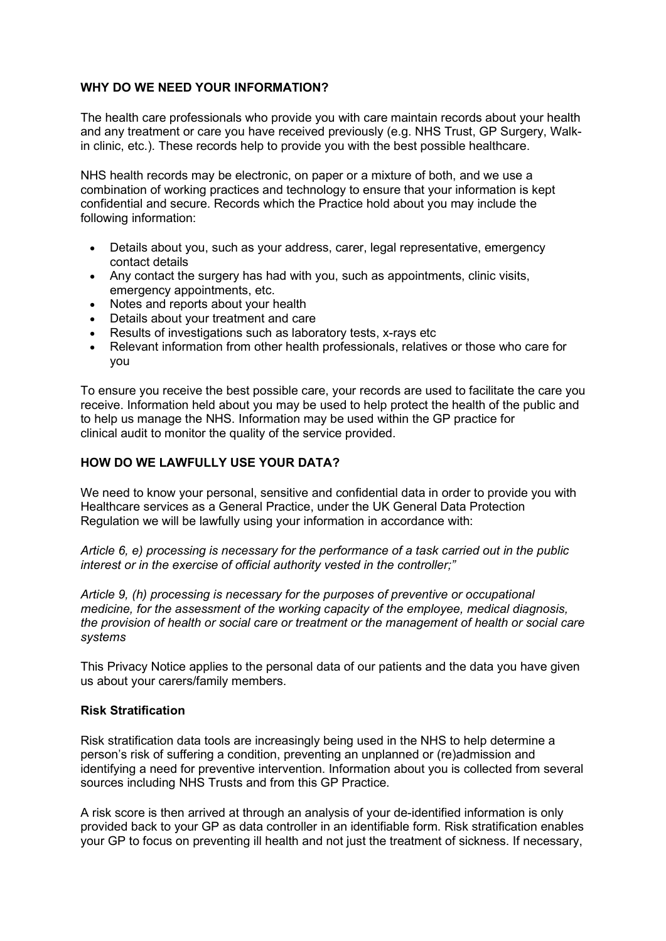#### WHY DO WE NEED YOUR INFORMATION?

The health care professionals who provide you with care maintain records about your health and any treatment or care you have received previously (e.g. NHS Trust, GP Surgery, Walkin clinic, etc.). These records help to provide you with the best possible healthcare.

NHS health records may be electronic, on paper or a mixture of both, and we use a combination of working practices and technology to ensure that your information is kept confidential and secure. Records which the Practice hold about you may include the following information:

- Details about you, such as your address, carer, legal representative, emergency contact details
- Any contact the surgery has had with you, such as appointments, clinic visits, emergency appointments, etc.
- Notes and reports about your health
- Details about your treatment and care
- Results of investigations such as laboratory tests, x-rays etc
- Relevant information from other health professionals, relatives or those who care for you

To ensure you receive the best possible care, your records are used to facilitate the care you receive. Information held about you may be used to help protect the health of the public and to help us manage the NHS. Information may be used within the GP practice for clinical audit to monitor the quality of the service provided.

#### HOW DO WE LAWFULLY USE YOUR DATA?

We need to know your personal, sensitive and confidential data in order to provide you with Healthcare services as a General Practice, under the UK General Data Protection Regulation we will be lawfully using your information in accordance with:

Article 6, e) processing is necessary for the performance of a task carried out in the public interest or in the exercise of official authority vested in the controller;"

Article 9, (h) processing is necessary for the purposes of preventive or occupational medicine, for the assessment of the working capacity of the employee, medical diagnosis, the provision of health or social care or treatment or the management of health or social care systems

This Privacy Notice applies to the personal data of our patients and the data you have given us about your carers/family members.

#### Risk Stratification

Risk stratification data tools are increasingly being used in the NHS to help determine a person's risk of suffering a condition, preventing an unplanned or (re)admission and identifying a need for preventive intervention. Information about you is collected from several sources including NHS Trusts and from this GP Practice.

A risk score is then arrived at through an analysis of your de-identified information is only provided back to your GP as data controller in an identifiable form. Risk stratification enables your GP to focus on preventing ill health and not just the treatment of sickness. If necessary,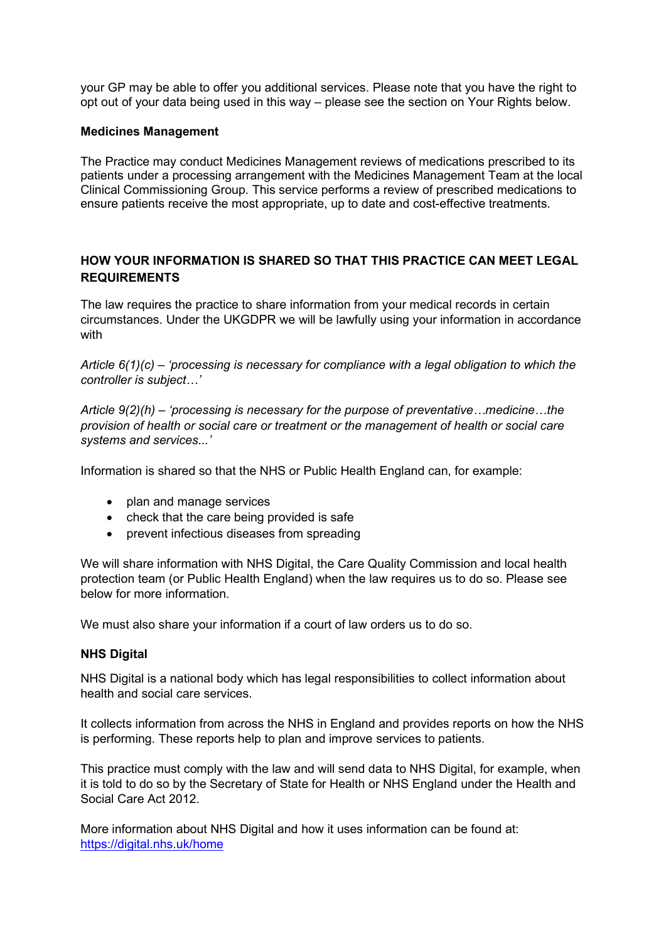your GP may be able to offer you additional services. Please note that you have the right to opt out of your data being used in this way – please see the section on Your Rights below.

#### Medicines Management

The Practice may conduct Medicines Management reviews of medications prescribed to its patients under a processing arrangement with the Medicines Management Team at the local Clinical Commissioning Group. This service performs a review of prescribed medications to ensure patients receive the most appropriate, up to date and cost-effective treatments.

# HOW YOUR INFORMATION IS SHARED SO THAT THIS PRACTICE CAN MEET LEGAL REQUIREMENTS

The law requires the practice to share information from your medical records in certain circumstances. Under the UKGDPR we will be lawfully using your information in accordance with

Article  $6(1)(c)$  – 'processing is necessary for compliance with a legal obligation to which the controller is subject…'

Article 9(2)(h) – 'processing is necessary for the purpose of preventative…medicine…the provision of health or social care or treatment or the management of health or social care systems and services...'

Information is shared so that the NHS or Public Health England can, for example:

- plan and manage services
- check that the care being provided is safe
- prevent infectious diseases from spreading

We will share information with NHS Digital, the Care Quality Commission and local health protection team (or Public Health England) when the law requires us to do so. Please see below for more information.

We must also share your information if a court of law orders us to do so.

#### NHS Digital

NHS Digital is a national body which has legal responsibilities to collect information about health and social care services.

It collects information from across the NHS in England and provides reports on how the NHS is performing. These reports help to plan and improve services to patients.

This practice must comply with the law and will send data to NHS Digital, for example, when it is told to do so by the Secretary of State for Health or NHS England under the Health and Social Care Act 2012.

More information about NHS Digital and how it uses information can be found at: https://digital.nhs.uk/home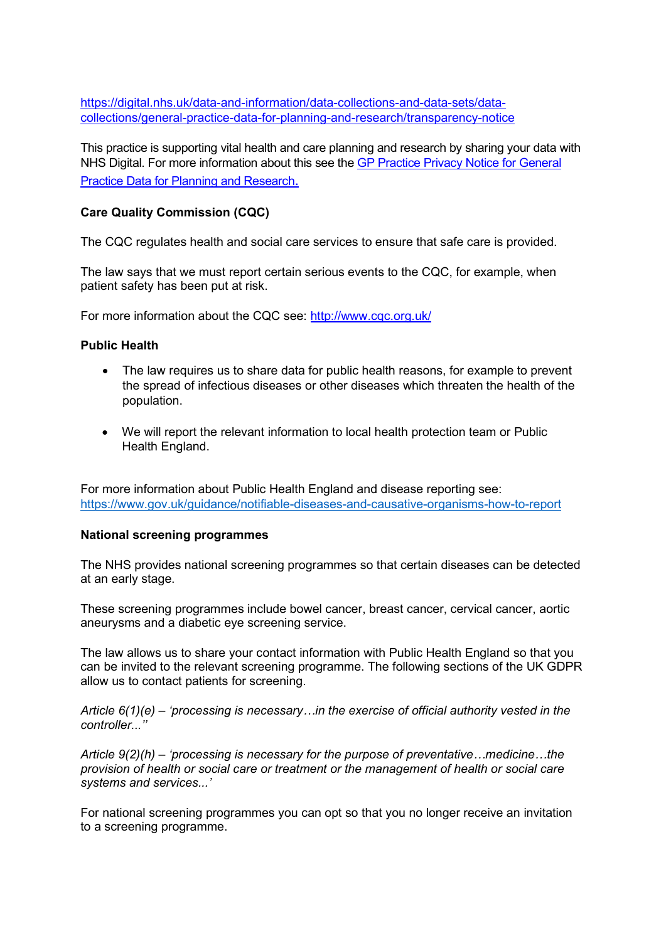https://digital.nhs.uk/data-and-information/data-collections-and-data-sets/datacollections/general-practice-data-for-planning-and-research/transparency-notice

This practice is supporting vital health and care planning and research by sharing your data with NHS Digital. For more information about this see the GP Practice Privacy Notice for General Practice Data for Planning and Research.

## Care Quality Commission (CQC)

The CQC regulates health and social care services to ensure that safe care is provided.

The law says that we must report certain serious events to the CQC, for example, when patient safety has been put at risk.

For more information about the CQC see: http://www.cqc.org.uk/

#### Public Health

- The law requires us to share data for public health reasons, for example to prevent the spread of infectious diseases or other diseases which threaten the health of the population.
- We will report the relevant information to local health protection team or Public Health England.

For more information about Public Health England and disease reporting see: https://www.gov.uk/guidance/notifiable-diseases-and-causative-organisms-how-to-report

#### National screening programmes

The NHS provides national screening programmes so that certain diseases can be detected at an early stage.

These screening programmes include bowel cancer, breast cancer, cervical cancer, aortic aneurysms and a diabetic eye screening service.

The law allows us to share your contact information with Public Health England so that you can be invited to the relevant screening programme. The following sections of the UK GDPR allow us to contact patients for screening.

Article  $6(1)(e)$  – 'processing is necessary...in the exercise of official authority vested in the controller.<sup>'</sup>

Article 9(2)(h) – 'processing is necessary for the purpose of preventative…medicine…the provision of health or social care or treatment or the management of health or social care systems and services...'

For national screening programmes you can opt so that you no longer receive an invitation to a screening programme.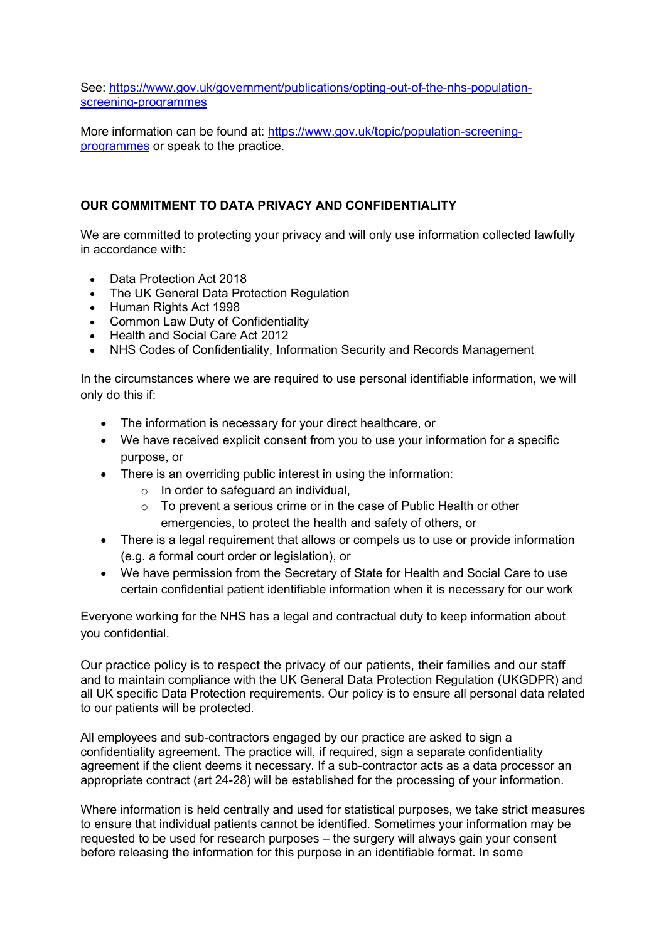See: https://www.gov.uk/government/publications/opting-out-of-the-nhs-populationscreening-programmes

More information can be found at: https://www.gov.uk/topic/population-screeningprogrammes or speak to the practice.

## OUR COMMITMENT TO DATA PRIVACY AND CONFIDENTIALITY

We are committed to protecting your privacy and will only use information collected lawfully in accordance with:

- Data Protection Act 2018
- The UK General Data Protection Regulation
- Human Rights Act 1998
- Common Law Duty of Confidentiality
- Health and Social Care Act 2012
- NHS Codes of Confidentiality, Information Security and Records Management

In the circumstances where we are required to use personal identifiable information, we will only do this if:

- The information is necessary for your direct healthcare, or
- We have received explicit consent from you to use your information for a specific purpose, or
- There is an overriding public interest in using the information:
	- o In order to safeguard an individual,
	- o To prevent a serious crime or in the case of Public Health or other emergencies, to protect the health and safety of others, or
- There is a legal requirement that allows or compels us to use or provide information (e.g. a formal court order or legislation), or
- We have permission from the Secretary of State for Health and Social Care to use certain confidential patient identifiable information when it is necessary for our work

Everyone working for the NHS has a legal and contractual duty to keep information about you confidential.

Our practice policy is to respect the privacy of our patients, their families and our staff and to maintain compliance with the UK General Data Protection Regulation (UKGDPR) and all UK specific Data Protection requirements. Our policy is to ensure all personal data related to our patients will be protected.

All employees and sub-contractors engaged by our practice are asked to sign a confidentiality agreement. The practice will, if required, sign a separate confidentiality agreement if the client deems it necessary. If a sub-contractor acts as a data processor an appropriate contract (art 24-28) will be established for the processing of your information.

Where information is held centrally and used for statistical purposes, we take strict measures to ensure that individual patients cannot be identified. Sometimes your information may be requested to be used for research purposes – the surgery will always gain your consent before releasing the information for this purpose in an identifiable format. In some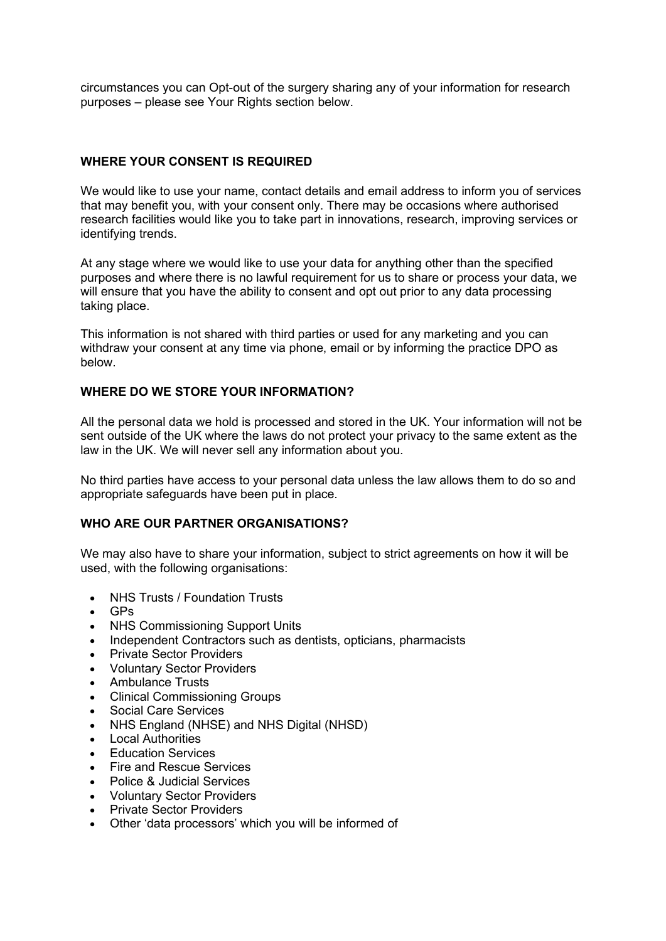circumstances you can Opt-out of the surgery sharing any of your information for research purposes – please see Your Rights section below.

## WHERE YOUR CONSENT IS REQUIRED

We would like to use your name, contact details and email address to inform you of services that may benefit you, with your consent only. There may be occasions where authorised research facilities would like you to take part in innovations, research, improving services or identifying trends.

At any stage where we would like to use your data for anything other than the specified purposes and where there is no lawful requirement for us to share or process your data, we will ensure that you have the ability to consent and opt out prior to any data processing taking place.

This information is not shared with third parties or used for any marketing and you can withdraw your consent at any time via phone, email or by informing the practice DPO as below.

#### WHERE DO WE STORE YOUR INFORMATION?

All the personal data we hold is processed and stored in the UK. Your information will not be sent outside of the UK where the laws do not protect your privacy to the same extent as the law in the UK. We will never sell any information about you.

No third parties have access to your personal data unless the law allows them to do so and appropriate safeguards have been put in place.

#### WHO ARE OUR PARTNER ORGANISATIONS?

We may also have to share your information, subject to strict agreements on how it will be used, with the following organisations:

- NHS Trusts / Foundation Trusts
- GPs
- NHS Commissioning Support Units
- Independent Contractors such as dentists, opticians, pharmacists
- Private Sector Providers
- Voluntary Sector Providers
- Ambulance Trusts
- Clinical Commissioning Groups
- Social Care Services
- NHS England (NHSE) and NHS Digital (NHSD)
- Local Authorities
- Education Services
- Fire and Rescue Services
- Police & Judicial Services
- Voluntary Sector Providers<br>• Private Sector Providers
- Private Sector Providers
- Other 'data processors' which you will be informed of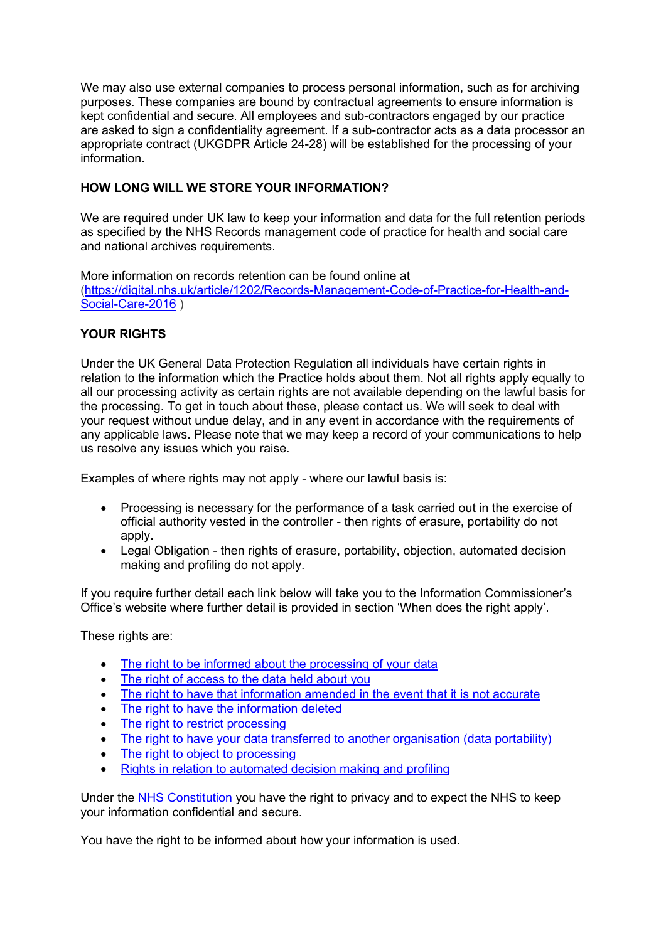We may also use external companies to process personal information, such as for archiving purposes. These companies are bound by contractual agreements to ensure information is kept confidential and secure. All employees and sub-contractors engaged by our practice are asked to sign a confidentiality agreement. If a sub-contractor acts as a data processor an appropriate contract (UKGDPR Article 24-28) will be established for the processing of your information.

# HOW LONG WILL WE STORE YOUR INFORMATION?

We are required under UK law to keep your information and data for the full retention periods as specified by the NHS Records management code of practice for health and social care and national archives requirements.

More information on records retention can be found online at (https://digital.nhs.uk/article/1202/Records-Management-Code-of-Practice-for-Health-and-Social-Care-2016 )

# YOUR RIGHTS

Under the UK General Data Protection Regulation all individuals have certain rights in relation to the information which the Practice holds about them. Not all rights apply equally to all our processing activity as certain rights are not available depending on the lawful basis for the processing. To get in touch about these, please contact us. We will seek to deal with your request without undue delay, and in any event in accordance with the requirements of any applicable laws. Please note that we may keep a record of your communications to help us resolve any issues which you raise.

Examples of where rights may not apply - where our lawful basis is:

- Processing is necessary for the performance of a task carried out in the exercise of official authority vested in the controller - then rights of erasure, portability do not apply.
- Legal Obligation then rights of erasure, portability, objection, automated decision making and profiling do not apply.

If you require further detail each link below will take you to the Information Commissioner's Office's website where further detail is provided in section 'When does the right apply'.

These rights are:

- The right to be informed about the processing of your data
- The right of access to the data held about you
- The right to have that information amended in the event that it is not accurate
- The right to have the information deleted
- The right to restrict processing
- The right to have your data transferred to another organisation (data portability)
- The right to object to processing
- Rights in relation to automated decision making and profiling

Under the NHS Constitution you have the right to privacy and to expect the NHS to keep your information confidential and secure.

You have the right to be informed about how your information is used.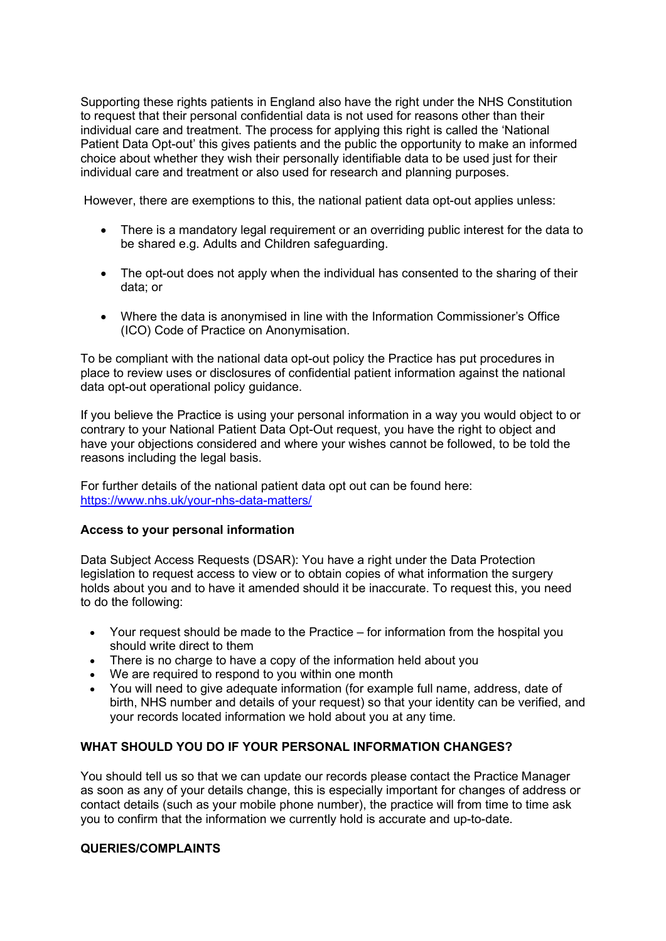Supporting these rights patients in England also have the right under the NHS Constitution to request that their personal confidential data is not used for reasons other than their individual care and treatment. The process for applying this right is called the 'National Patient Data Opt-out' this gives patients and the public the opportunity to make an informed choice about whether they wish their personally identifiable data to be used just for their individual care and treatment or also used for research and planning purposes.

However, there are exemptions to this, the national patient data opt-out applies unless:

- There is a mandatory legal requirement or an overriding public interest for the data to be shared e.g. Adults and Children safeguarding.
- The opt-out does not apply when the individual has consented to the sharing of their data; or
- Where the data is anonymised in line with the Information Commissioner's Office (ICO) Code of Practice on Anonymisation.

To be compliant with the national data opt-out policy the Practice has put procedures in place to review uses or disclosures of confidential patient information against the national data opt-out operational policy guidance.

If you believe the Practice is using your personal information in a way you would object to or contrary to your National Patient Data Opt-Out request, you have the right to object and have your objections considered and where your wishes cannot be followed, to be told the reasons including the legal basis.

For further details of the national patient data opt out can be found here: https://www.nhs.uk/your-nhs-data-matters/

#### Access to your personal information

Data Subject Access Requests (DSAR): You have a right under the Data Protection legislation to request access to view or to obtain copies of what information the surgery holds about you and to have it amended should it be inaccurate. To request this, you need to do the following:

- Your request should be made to the Practice for information from the hospital you should write direct to them
- There is no charge to have a copy of the information held about you
- We are required to respond to you within one month
- You will need to give adequate information (for example full name, address, date of birth, NHS number and details of your request) so that your identity can be verified, and your records located information we hold about you at any time.

#### WHAT SHOULD YOU DO IF YOUR PERSONAL INFORMATION CHANGES?

You should tell us so that we can update our records please contact the Practice Manager as soon as any of your details change, this is especially important for changes of address or contact details (such as your mobile phone number), the practice will from time to time ask you to confirm that the information we currently hold is accurate and up-to-date.

#### QUERIES/COMPLAINTS